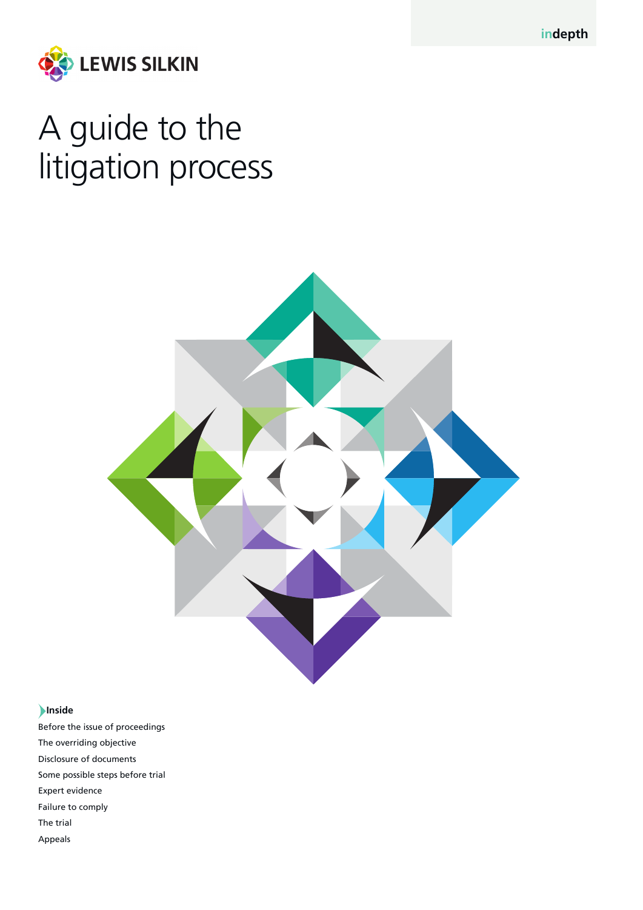**indepth**



# A guide to the litigation process



#### **Inside**

Before the issue of proceedings The overriding objective Disclosure of documents Some possible steps before trial Expert evidence Failure to comply The trial Appeals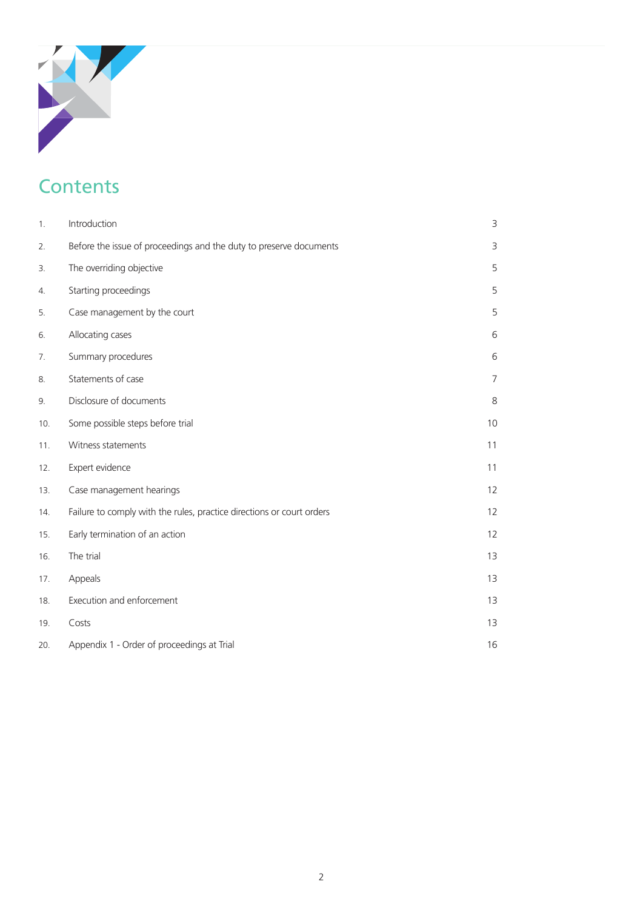## **Contents**

| 1.  | Introduction                                                          | 3              |
|-----|-----------------------------------------------------------------------|----------------|
| 2.  | Before the issue of proceedings and the duty to preserve documents    | 3              |
| 3.  | The overriding objective                                              | 5              |
| 4.  | Starting proceedings                                                  | 5              |
| 5.  | Case management by the court                                          | 5              |
| 6.  | Allocating cases                                                      | 6              |
| 7.  | Summary procedures                                                    | 6              |
| 8.  | Statements of case                                                    | $\overline{7}$ |
| 9.  | Disclosure of documents                                               | 8              |
| 10. | Some possible steps before trial                                      | 10             |
| 11. | Witness statements                                                    | 11             |
| 12. | Expert evidence                                                       | 11             |
| 13. | Case management hearings                                              | 12             |
| 14. | Failure to comply with the rules, practice directions or court orders | 12             |
| 15. | Early termination of an action                                        | 12             |
| 16. | The trial                                                             | 13             |
| 17. | Appeals                                                               | 13             |
| 18. | Execution and enforcement                                             | 13             |
| 19. | Costs                                                                 | 13             |
| 20. | Appendix 1 - Order of proceedings at Trial                            | 16             |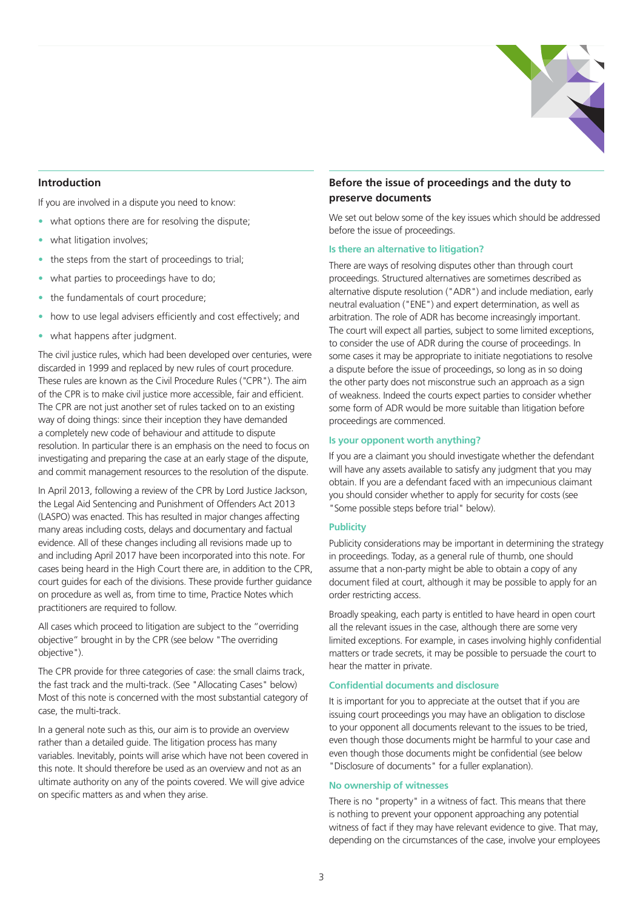

#### **Introduction**

If you are involved in a dispute you need to know:

- what options there are for resolving the dispute:
- what litigation involves;
- the steps from the start of proceedings to trial;
- what parties to proceedings have to do;
- the fundamentals of court procedure;
- how to use legal advisers efficiently and cost effectively; and
- what happens after judgment.

The civil justice rules, which had been developed over centuries, were discarded in 1999 and replaced by new rules of court procedure. These rules are known as the Civil Procedure Rules (*"*CPR"). The aim of the CPR is to make civil justice more accessible, fair and efficient. The CPR are not just another set of rules tacked on to an existing way of doing things: since their inception they have demanded a completely new code of behaviour and attitude to dispute resolution. In particular there is an emphasis on the need to focus on investigating and preparing the case at an early stage of the dispute, and commit management resources to the resolution of the dispute.

In April 2013, following a review of the CPR by Lord Justice Jackson, the Legal Aid Sentencing and Punishment of Offenders Act 2013 (LASPO) was enacted. This has resulted in major changes affecting many areas including costs, delays and documentary and factual evidence. All of these changes including all revisions made up to and including April 2017 have been incorporated into this note. For cases being heard in the High Court there are, in addition to the CPR, court guides for each of the divisions. These provide further guidance on procedure as well as, from time to time, Practice Notes which practitioners are required to follow.

All cases which proceed to litigation are subject to the "overriding objective" brought in by the CPR (see below "The overriding objective").

The CPR provide for three categories of case: the small claims track, the fast track and the multi-track. (See "Allocating Cases" below) Most of this note is concerned with the most substantial category of case, the multi-track.

In a general note such as this, our aim is to provide an overview rather than a detailed guide. The litigation process has many variables. Inevitably, points will arise which have not been covered in this note. It should therefore be used as an overview and not as an ultimate authority on any of the points covered. We will give advice on specific matters as and when they arise.

#### **Before the issue of proceedings and the duty to preserve documents**

We set out below some of the key issues which should be addressed before the issue of proceedings.

#### **Is there an alternative to litigation?**

There are ways of resolving disputes other than through court proceedings. Structured alternatives are sometimes described as alternative dispute resolution ("ADR") and include mediation, early neutral evaluation ("ENE") and expert determination, as well as arbitration. The role of ADR has become increasingly important. The court will expect all parties, subject to some limited exceptions, to consider the use of ADR during the course of proceedings. In some cases it may be appropriate to initiate negotiations to resolve a dispute before the issue of proceedings, so long as in so doing the other party does not misconstrue such an approach as a sign of weakness. Indeed the courts expect parties to consider whether some form of ADR would be more suitable than litigation before proceedings are commenced.

#### **Is your opponent worth anything?**

If you are a claimant you should investigate whether the defendant will have any assets available to satisfy any judgment that you may obtain. If you are a defendant faced with an impecunious claimant you should consider whether to apply for security for costs (see "Some possible steps before trial" below).

#### **Publicity**

Publicity considerations may be important in determining the strategy in proceedings. Today, as a general rule of thumb, one should assume that a non-party might be able to obtain a copy of any document filed at court, although it may be possible to apply for an order restricting access.

Broadly speaking, each party is entitled to have heard in open court all the relevant issues in the case, although there are some very limited exceptions. For example, in cases involving highly confidential matters or trade secrets, it may be possible to persuade the court to hear the matter in private.

#### **Confidential documents and disclosure**

It is important for you to appreciate at the outset that if you are issuing court proceedings you may have an obligation to disclose to your opponent all documents relevant to the issues to be tried, even though those documents might be harmful to your case and even though those documents might be confidential (see below "Disclosure of documents" for a fuller explanation).

#### **No ownership of witnesses**

There is no "property" in a witness of fact. This means that there is nothing to prevent your opponent approaching any potential witness of fact if they may have relevant evidence to give. That may, depending on the circumstances of the case, involve your employees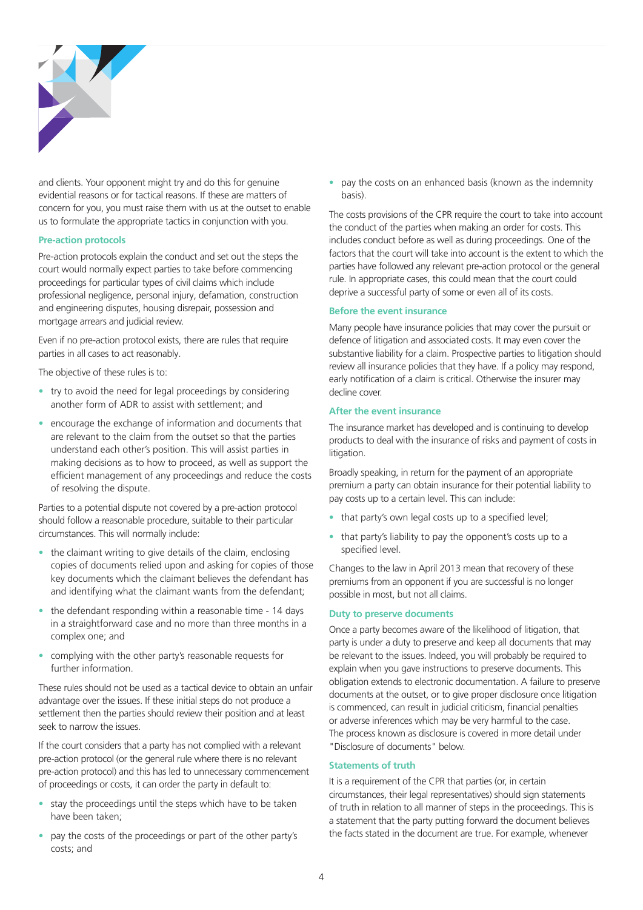

and clients. Your opponent might try and do this for genuine evidential reasons or for tactical reasons. If these are matters of concern for you, you must raise them with us at the outset to enable us to formulate the appropriate tactics in conjunction with you.

#### **Pre-action protocols**

Pre-action protocols explain the conduct and set out the steps the court would normally expect parties to take before commencing proceedings for particular types of civil claims which include professional negligence, personal injury, defamation, construction and engineering disputes, housing disrepair, possession and mortgage arrears and judicial review.

Even if no pre-action protocol exists, there are rules that require parties in all cases to act reasonably.

The objective of these rules is to:

- try to avoid the need for legal proceedings by considering another form of ADR to assist with settlement; and
- encourage the exchange of information and documents that are relevant to the claim from the outset so that the parties understand each other's position. This will assist parties in making decisions as to how to proceed, as well as support the efficient management of any proceedings and reduce the costs of resolving the dispute.

Parties to a potential dispute not covered by a pre-action protocol should follow a reasonable procedure, suitable to their particular circumstances. This will normally include:

- the claimant writing to give details of the claim, enclosing copies of documents relied upon and asking for copies of those key documents which the claimant believes the defendant has and identifying what the claimant wants from the defendant;
- the defendant responding within a reasonable time 14 days in a straightforward case and no more than three months in a complex one; and
- complying with the other party's reasonable requests for further information.

These rules should not be used as a tactical device to obtain an unfair advantage over the issues. If these initial steps do not produce a settlement then the parties should review their position and at least seek to narrow the issues.

If the court considers that a party has not complied with a relevant pre-action protocol (or the general rule where there is no relevant pre-action protocol) and this has led to unnecessary commencement of proceedings or costs, it can order the party in default to:

- stay the proceedings until the steps which have to be taken have been taken;
- pay the costs of the proceedings or part of the other party's costs; and

• pay the costs on an enhanced basis (known as the indemnity basis).

The costs provisions of the CPR require the court to take into account the conduct of the parties when making an order for costs. This includes conduct before as well as during proceedings. One of the factors that the court will take into account is the extent to which the parties have followed any relevant pre-action protocol or the general rule. In appropriate cases, this could mean that the court could deprive a successful party of some or even all of its costs.

#### **Before the event insurance**

Many people have insurance policies that may cover the pursuit or defence of litigation and associated costs. It may even cover the substantive liability for a claim. Prospective parties to litigation should review all insurance policies that they have. If a policy may respond, early notification of a claim is critical. Otherwise the insurer may decline cover.

#### **After the event insurance**

The insurance market has developed and is continuing to develop products to deal with the insurance of risks and payment of costs in litigation.

Broadly speaking, in return for the payment of an appropriate premium a party can obtain insurance for their potential liability to pay costs up to a certain level. This can include:

- that party's own legal costs up to a specified level;
- that party's liability to pay the opponent's costs up to a specified level.

Changes to the law in April 2013 mean that recovery of these premiums from an opponent if you are successful is no longer possible in most, but not all claims.

#### **Duty to preserve documents**

Once a party becomes aware of the likelihood of litigation, that party is under a duty to preserve and keep all documents that may be relevant to the issues. Indeed, you will probably be required to explain when you gave instructions to preserve documents. This obligation extends to electronic documentation. A failure to preserve documents at the outset, or to give proper disclosure once litigation is commenced, can result in judicial criticism, financial penalties or adverse inferences which may be very harmful to the case. The process known as disclosure is covered in more detail under "Disclosure of documents" below.

#### **Statements of truth**

It is a requirement of the CPR that parties (or, in certain circumstances, their legal representatives) should sign statements of truth in relation to all manner of steps in the proceedings. This is a statement that the party putting forward the document believes the facts stated in the document are true. For example, whenever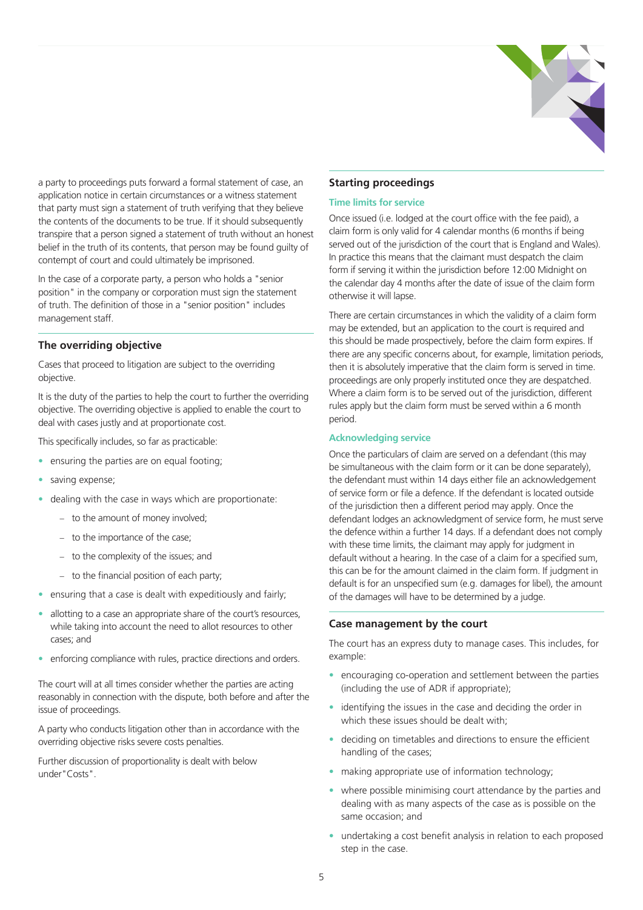

a party to proceedings puts forward a formal statement of case, an application notice in certain circumstances or a witness statement that party must sign a statement of truth verifying that they believe the contents of the documents to be true. If it should subsequently transpire that a person signed a statement of truth without an honest belief in the truth of its contents, that person may be found guilty of contempt of court and could ultimately be imprisoned.

In the case of a corporate party, a person who holds a "senior position" in the company or corporation must sign the statement of truth. The definition of those in a "senior position" includes management staff.

#### **The overriding objective**

Cases that proceed to litigation are subject to the overriding objective.

It is the duty of the parties to help the court to further the overriding objective. The overriding objective is applied to enable the court to deal with cases justly and at proportionate cost.

This specifically includes, so far as practicable:

- ensuring the parties are on equal footing;
- saving expense;
- dealing with the case in ways which are proportionate:
	- − to the amount of money involved;
	- − to the importance of the case;
	- − to the complexity of the issues; and
	- − to the financial position of each party;
- ensuring that a case is dealt with expeditiously and fairly;
- allotting to a case an appropriate share of the court's resources, while taking into account the need to allot resources to other cases; and
- enforcing compliance with rules, practice directions and orders.

The court will at all times consider whether the parties are acting reasonably in connection with the dispute, both before and after the issue of proceedings.

A party who conducts litigation other than in accordance with the overriding objective risks severe costs penalties.

Further discussion of proportionality is dealt with below under"Costs".

#### **Starting proceedings**

#### **Time limits for service**

Once issued (i.e. lodged at the court office with the fee paid), a claim form is only valid for 4 calendar months (6 months if being served out of the jurisdiction of the court that is England and Wales). In practice this means that the claimant must despatch the claim form if serving it within the jurisdiction before 12:00 Midnight on the calendar day 4 months after the date of issue of the claim form otherwise it will lapse.

There are certain circumstances in which the validity of a claim form may be extended, but an application to the court is required and this should be made prospectively, before the claim form expires. If there are any specific concerns about, for example, limitation periods, then it is absolutely imperative that the claim form is served in time. proceedings are only properly instituted once they are despatched. Where a claim form is to be served out of the jurisdiction, different rules apply but the claim form must be served within a 6 month period.

#### **Acknowledging service**

Once the particulars of claim are served on a defendant (this may be simultaneous with the claim form or it can be done separately), the defendant must within 14 days either file an acknowledgement of service form or file a defence. If the defendant is located outside of the jurisdiction then a different period may apply. Once the defendant lodges an acknowledgment of service form, he must serve the defence within a further 14 days. If a defendant does not comply with these time limits, the claimant may apply for judgment in default without a hearing. In the case of a claim for a specified sum, this can be for the amount claimed in the claim form. If judgment in default is for an unspecified sum (e.g. damages for libel), the amount of the damages will have to be determined by a judge.

#### **Case management by the court**

The court has an express duty to manage cases. This includes, for example:

- encouraging co-operation and settlement between the parties (including the use of ADR if appropriate);
- identifying the issues in the case and deciding the order in which these issues should be dealt with:
- deciding on timetables and directions to ensure the efficient handling of the cases;
- making appropriate use of information technology;
- where possible minimising court attendance by the parties and dealing with as many aspects of the case as is possible on the same occasion; and
- undertaking a cost benefit analysis in relation to each proposed step in the case.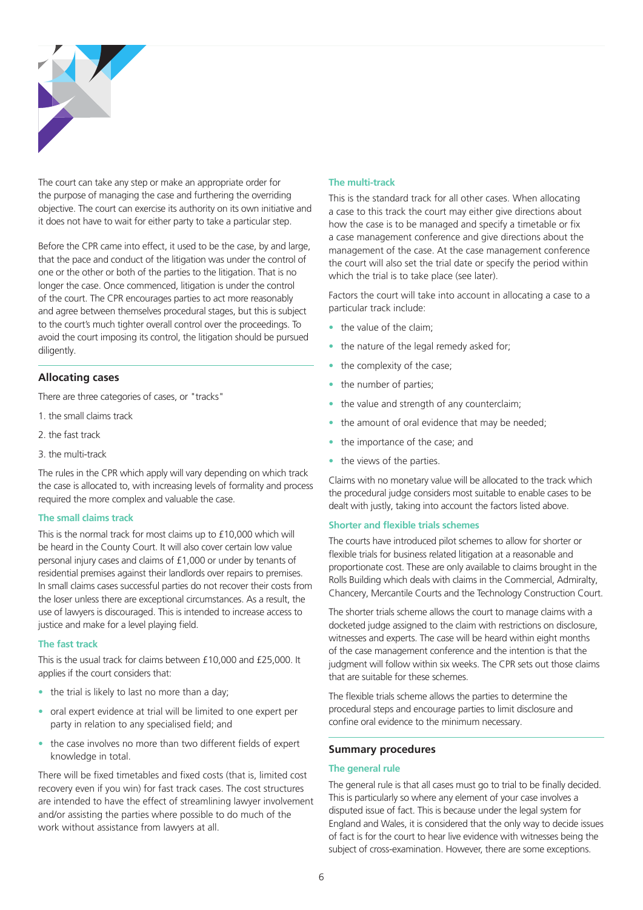

The court can take any step or make an appropriate order for the purpose of managing the case and furthering the overriding objective. The court can exercise its authority on its own initiative and it does not have to wait for either party to take a particular step.

Before the CPR came into effect, it used to be the case, by and large, that the pace and conduct of the litigation was under the control of one or the other or both of the parties to the litigation. That is no longer the case. Once commenced, litigation is under the control of the court. The CPR encourages parties to act more reasonably and agree between themselves procedural stages, but this is subject to the court's much tighter overall control over the proceedings. To avoid the court imposing its control, the litigation should be pursued diligently.

#### **Allocating cases**

There are three categories of cases, or "tracks"

- 1. the small claims track
- 2. the fast track
- 3. the multi-track

The rules in the CPR which apply will vary depending on which track the case is allocated to, with increasing levels of formality and process required the more complex and valuable the case.

#### **The small claims track**

This is the normal track for most claims up to £10,000 which will be heard in the County Court. It will also cover certain low value personal injury cases and claims of £1,000 or under by tenants of residential premises against their landlords over repairs to premises. In small claims cases successful parties do not recover their costs from the loser unless there are exceptional circumstances. As a result, the use of lawyers is discouraged. This is intended to increase access to justice and make for a level playing field.

#### **The fast track**

This is the usual track for claims between £10,000 and £25,000. It applies if the court considers that:

- the trial is likely to last no more than a day;
- oral expert evidence at trial will be limited to one expert per party in relation to any specialised field; and
- the case involves no more than two different fields of expert knowledge in total.

There will be fixed timetables and fixed costs (that is, limited cost recovery even if you win) for fast track cases. The cost structures are intended to have the effect of streamlining lawyer involvement and/or assisting the parties where possible to do much of the work without assistance from lawyers at all.

#### **The multi-track**

This is the standard track for all other cases. When allocating a case to this track the court may either give directions about how the case is to be managed and specify a timetable or fix a case management conference and give directions about the management of the case. At the case management conference the court will also set the trial date or specify the period within which the trial is to take place (see later).

Factors the court will take into account in allocating a case to a particular track include:

- the value of the claim:
- the nature of the legal remedy asked for;
- the complexity of the case:
- the number of parties;
- the value and strength of any counterclaim;
- the amount of oral evidence that may be needed;
- the importance of the case; and
- the views of the parties.

Claims with no monetary value will be allocated to the track which the procedural judge considers most suitable to enable cases to be dealt with justly, taking into account the factors listed above.

#### **Shorter and flexible trials schemes**

The courts have introduced pilot schemes to allow for shorter or flexible trials for business related litigation at a reasonable and proportionate cost. These are only available to claims brought in the Rolls Building which deals with claims in the Commercial, Admiralty, Chancery, Mercantile Courts and the Technology Construction Court.

The shorter trials scheme allows the court to manage claims with a docketed judge assigned to the claim with restrictions on disclosure, witnesses and experts. The case will be heard within eight months of the case management conference and the intention is that the judgment will follow within six weeks. The CPR sets out those claims that are suitable for these schemes.

The flexible trials scheme allows the parties to determine the procedural steps and encourage parties to limit disclosure and confine oral evidence to the minimum necessary.

#### **Summary procedures**

#### **The general rule**

The general rule is that all cases must go to trial to be finally decided. This is particularly so where any element of your case involves a disputed issue of fact. This is because under the legal system for England and Wales, it is considered that the only way to decide issues of fact is for the court to hear live evidence with witnesses being the subject of cross-examination. However, there are some exceptions.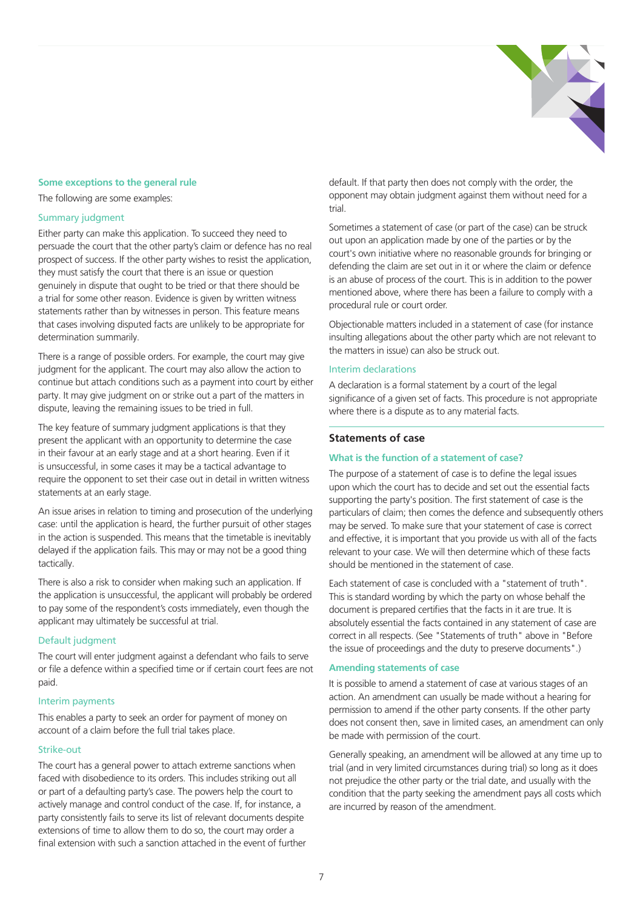

#### **Some exceptions to the general rule**

The following are some examples:

#### Summary judgment

Either party can make this application. To succeed they need to persuade the court that the other party's claim or defence has no real prospect of success. If the other party wishes to resist the application, they must satisfy the court that there is an issue or question genuinely in dispute that ought to be tried or that there should be a trial for some other reason. Evidence is given by written witness statements rather than by witnesses in person. This feature means that cases involving disputed facts are unlikely to be appropriate for determination summarily.

There is a range of possible orders. For example, the court may give judgment for the applicant. The court may also allow the action to continue but attach conditions such as a payment into court by either party. It may give judgment on or strike out a part of the matters in dispute, leaving the remaining issues to be tried in full.

The key feature of summary judgment applications is that they present the applicant with an opportunity to determine the case in their favour at an early stage and at a short hearing. Even if it is unsuccessful, in some cases it may be a tactical advantage to require the opponent to set their case out in detail in written witness statements at an early stage.

An issue arises in relation to timing and prosecution of the underlying case: until the application is heard, the further pursuit of other stages in the action is suspended. This means that the timetable is inevitably delayed if the application fails. This may or may not be a good thing tactically.

There is also a risk to consider when making such an application. If the application is unsuccessful, the applicant will probably be ordered to pay some of the respondent's costs immediately, even though the applicant may ultimately be successful at trial.

#### Default judgment

The court will enter judgment against a defendant who fails to serve or file a defence within a specified time or if certain court fees are not paid.

#### Interim payments

This enables a party to seek an order for payment of money on account of a claim before the full trial takes place.

#### Strike-out

The court has a general power to attach extreme sanctions when faced with disobedience to its orders. This includes striking out all or part of a defaulting party's case. The powers help the court to actively manage and control conduct of the case. If, for instance, a party consistently fails to serve its list of relevant documents despite extensions of time to allow them to do so, the court may order a final extension with such a sanction attached in the event of further default. If that party then does not comply with the order, the opponent may obtain judgment against them without need for a trial.

Sometimes a statement of case (or part of the case) can be struck out upon an application made by one of the parties or by the court's own initiative where no reasonable grounds for bringing or defending the claim are set out in it or where the claim or defence is an abuse of process of the court. This is in addition to the power mentioned above, where there has been a failure to comply with a procedural rule or court order.

Objectionable matters included in a statement of case (for instance insulting allegations about the other party which are not relevant to the matters in issue) can also be struck out.

#### Interim declarations

A declaration is a formal statement by a court of the legal significance of a given set of facts. This procedure is not appropriate where there is a dispute as to any material facts.

#### **Statements of case**

#### **What is the function of a statement of case?**

The purpose of a statement of case is to define the legal issues upon which the court has to decide and set out the essential facts supporting the party's position. The first statement of case is the particulars of claim; then comes the defence and subsequently others may be served. To make sure that your statement of case is correct and effective, it is important that you provide us with all of the facts relevant to your case. We will then determine which of these facts should be mentioned in the statement of case.

Each statement of case is concluded with a "statement of truth". This is standard wording by which the party on whose behalf the document is prepared certifies that the facts in it are true. It is absolutely essential the facts contained in any statement of case are correct in all respects. (See "Statements of truth" above in "Before the issue of proceedings and the duty to preserve documents".)

#### **Amending statements of case**

It is possible to amend a statement of case at various stages of an action. An amendment can usually be made without a hearing for permission to amend if the other party consents. If the other party does not consent then, save in limited cases, an amendment can only be made with permission of the court.

Generally speaking, an amendment will be allowed at any time up to trial (and in very limited circumstances during trial) so long as it does not prejudice the other party or the trial date, and usually with the condition that the party seeking the amendment pays all costs which are incurred by reason of the amendment.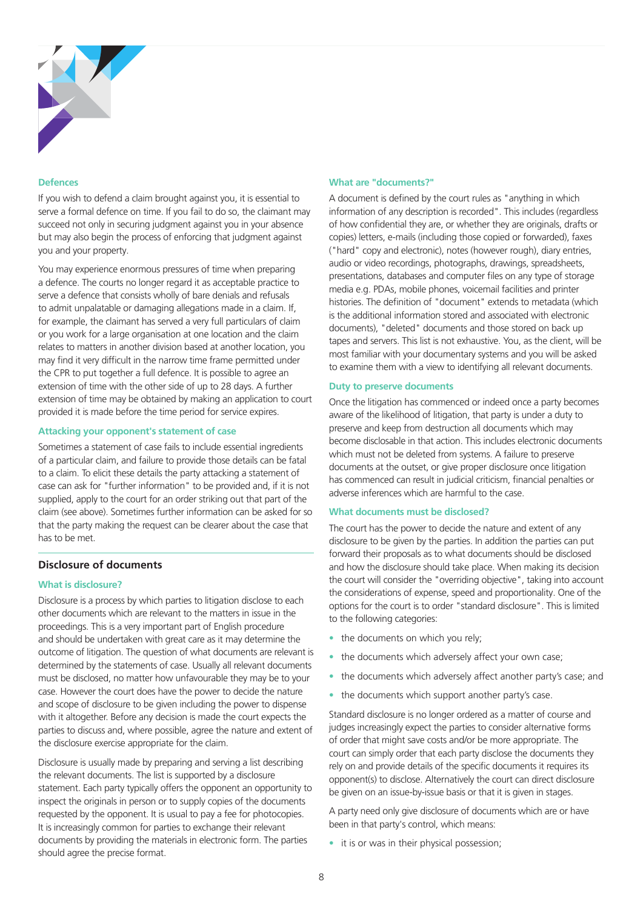

#### **Defences**

If you wish to defend a claim brought against you, it is essential to serve a formal defence on time. If you fail to do so, the claimant may succeed not only in securing judgment against you in your absence but may also begin the process of enforcing that judgment against you and your property.

You may experience enormous pressures of time when preparing a defence. The courts no longer regard it as acceptable practice to serve a defence that consists wholly of bare denials and refusals to admit unpalatable or damaging allegations made in a claim. If, for example, the claimant has served a very full particulars of claim or you work for a large organisation at one location and the claim relates to matters in another division based at another location, you may find it very difficult in the narrow time frame permitted under the CPR to put together a full defence. It is possible to agree an extension of time with the other side of up to 28 days. A further extension of time may be obtained by making an application to court provided it is made before the time period for service expires.

#### **Attacking your opponent's statement of case**

Sometimes a statement of case fails to include essential ingredients of a particular claim, and failure to provide those details can be fatal to a claim. To elicit these details the party attacking a statement of case can ask for "further information" to be provided and, if it is not supplied, apply to the court for an order striking out that part of the claim (see above). Sometimes further information can be asked for so that the party making the request can be clearer about the case that has to be met.

#### **Disclosure of documents**

#### **What is disclosure?**

Disclosure is a process by which parties to litigation disclose to each other documents which are relevant to the matters in issue in the proceedings. This is a very important part of English procedure and should be undertaken with great care as it may determine the outcome of litigation. The question of what documents are relevant is determined by the statements of case. Usually all relevant documents must be disclosed, no matter how unfavourable they may be to your case. However the court does have the power to decide the nature and scope of disclosure to be given including the power to dispense with it altogether. Before any decision is made the court expects the parties to discuss and, where possible, agree the nature and extent of the disclosure exercise appropriate for the claim.

Disclosure is usually made by preparing and serving a list describing the relevant documents. The list is supported by a disclosure statement. Each party typically offers the opponent an opportunity to inspect the originals in person or to supply copies of the documents requested by the opponent. It is usual to pay a fee for photocopies. It is increasingly common for parties to exchange their relevant documents by providing the materials in electronic form. The parties should agree the precise format.

#### **What are "documents?"**

A document is defined by the court rules as "anything in which information of any description is recorded". This includes (regardless of how confidential they are, or whether they are originals, drafts or copies) letters, e-mails (including those copied or forwarded), faxes ("hard" copy and electronic), notes (however rough), diary entries, audio or video recordings, photographs, drawings, spreadsheets, presentations, databases and computer files on any type of storage media e.g. PDAs, mobile phones, voicemail facilities and printer histories. The definition of "document" extends to metadata (which is the additional information stored and associated with electronic documents), "deleted" documents and those stored on back up tapes and servers. This list is not exhaustive. You, as the client, will be most familiar with your documentary systems and you will be asked to examine them with a view to identifying all relevant documents.

#### **Duty to preserve documents**

Once the litigation has commenced or indeed once a party becomes aware of the likelihood of litigation, that party is under a duty to preserve and keep from destruction all documents which may become disclosable in that action. This includes electronic documents which must not be deleted from systems. A failure to preserve documents at the outset, or give proper disclosure once litigation has commenced can result in judicial criticism, financial penalties or adverse inferences which are harmful to the case.

#### **What documents must be disclosed?**

The court has the power to decide the nature and extent of any disclosure to be given by the parties. In addition the parties can put forward their proposals as to what documents should be disclosed and how the disclosure should take place. When making its decision the court will consider the "overriding objective", taking into account the considerations of expense, speed and proportionality. One of the options for the court is to order "standard disclosure". This is limited to the following categories:

- the documents on which you rely;
- the documents which adversely affect your own case;
- the documents which adversely affect another party's case; and
- the documents which support another party's case.

Standard disclosure is no longer ordered as a matter of course and judges increasingly expect the parties to consider alternative forms of order that might save costs and/or be more appropriate. The court can simply order that each party disclose the documents they rely on and provide details of the specific documents it requires its opponent(s) to disclose. Alternatively the court can direct disclosure be given on an issue-by-issue basis or that it is given in stages.

A party need only give disclosure of documents which are or have been in that party's control, which means:

• it is or was in their physical possession;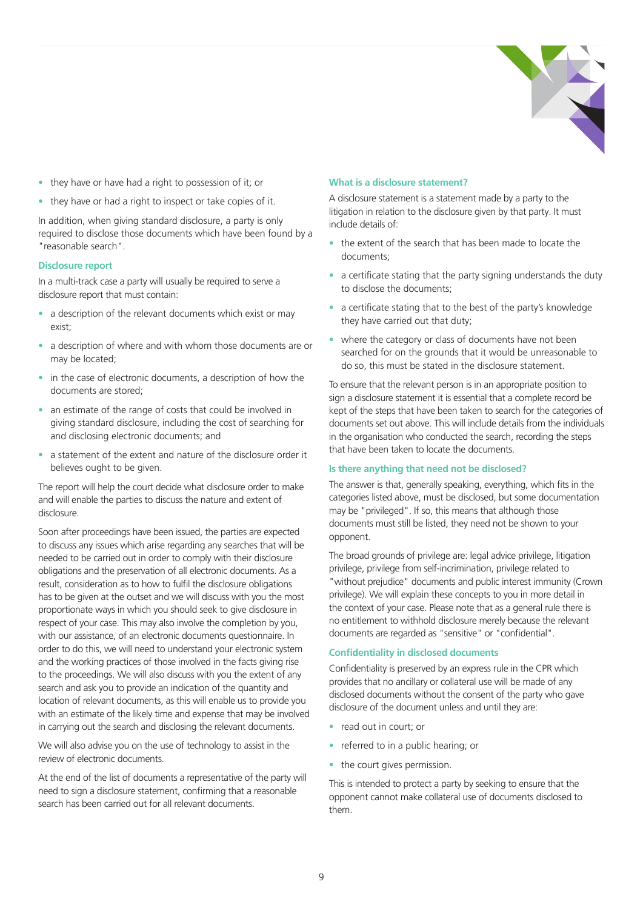

- they have or have had a right to possession of it; or
- they have or had a right to inspect or take copies of it.

In addition, when giving standard disclosure, a party is only required to disclose those documents which have been found by a "reasonable search".

#### **Disclosure report**

In a multi-track case a party will usually be required to serve a disclosure report that must contain:

- a description of the relevant documents which exist or may exist;
- a description of where and with whom those documents are or may be located;
- in the case of electronic documents, a description of how the documents are stored;
- an estimate of the range of costs that could be involved in giving standard disclosure, including the cost of searching for and disclosing electronic documents; and
- a statement of the extent and nature of the disclosure order it believes ought to be given.

The report will help the court decide what disclosure order to make and will enable the parties to discuss the nature and extent of disclosure.

Soon after proceedings have been issued, the parties are expected to discuss any issues which arise regarding any searches that will be needed to be carried out in order to comply with their disclosure obligations and the preservation of all electronic documents. As a result, consideration as to how to fulfil the disclosure obligations has to be given at the outset and we will discuss with you the most proportionate ways in which you should seek to give disclosure in respect of your case. This may also involve the completion by you, with our assistance, of an electronic documents questionnaire. In order to do this, we will need to understand your electronic system and the working practices of those involved in the facts giving rise to the proceedings. We will also discuss with you the extent of any search and ask you to provide an indication of the quantity and location of relevant documents, as this will enable us to provide you with an estimate of the likely time and expense that may be involved in carrying out the search and disclosing the relevant documents.

We will also advise you on the use of technology to assist in the review of electronic documents.

At the end of the list of documents a representative of the party will need to sign a disclosure statement, confirming that a reasonable search has been carried out for all relevant documents.

#### **What is a disclosure statement?**

A disclosure statement is a statement made by a party to the litigation in relation to the disclosure given by that party. It must include details of:

- the extent of the search that has been made to locate the documents;
- a certificate stating that the party signing understands the duty to disclose the documents;
- a certificate stating that to the best of the party's knowledge they have carried out that duty;
- where the category or class of documents have not been searched for on the grounds that it would be unreasonable to do so, this must be stated in the disclosure statement.

To ensure that the relevant person is in an appropriate position to sign a disclosure statement it is essential that a complete record be kept of the steps that have been taken to search for the categories of documents set out above. This will include details from the individuals in the organisation who conducted the search, recording the steps that have been taken to locate the documents.

#### **Is there anything that need not be disclosed?**

The answer is that, generally speaking, everything, which fits in the categories listed above, must be disclosed, but some documentation may be "privileged". If so, this means that although those documents must still be listed, they need not be shown to your opponent.

The broad grounds of privilege are: legal advice privilege, litigation privilege, privilege from self-incrimination, privilege related to "without prejudice" documents and public interest immunity (Crown privilege). We will explain these concepts to you in more detail in the context of your case. Please note that as a general rule there is no entitlement to withhold disclosure merely because the relevant documents are regarded as "sensitive" or "confidential".

#### **Confidentiality in disclosed documents**

Confidentiality is preserved by an express rule in the CPR which provides that no ancillary or collateral use will be made of any disclosed documents without the consent of the party who gave disclosure of the document unless and until they are:

- read out in court; or
- referred to in a public hearing; or
- the court gives permission.

This is intended to protect a party by seeking to ensure that the opponent cannot make collateral use of documents disclosed to them.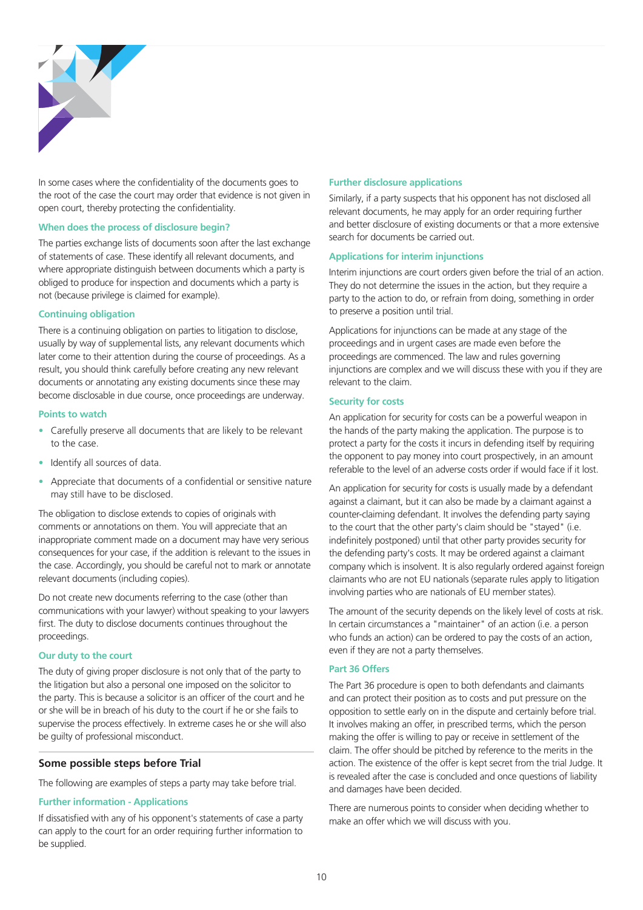

In some cases where the confidentiality of the documents goes to the root of the case the court may order that evidence is not given in open court, thereby protecting the confidentiality.

#### **When does the process of disclosure begin?**

The parties exchange lists of documents soon after the last exchange of statements of case. These identify all relevant documents, and where appropriate distinguish between documents which a party is obliged to produce for inspection and documents which a party is not (because privilege is claimed for example).

#### **Continuing obligation**

There is a continuing obligation on parties to litigation to disclose, usually by way of supplemental lists, any relevant documents which later come to their attention during the course of proceedings. As a result, you should think carefully before creating any new relevant documents or annotating any existing documents since these may become disclosable in due course, once proceedings are underway.

#### **Points to watch**

- Carefully preserve all documents that are likely to be relevant to the case.
- Identify all sources of data.
- Appreciate that documents of a confidential or sensitive nature may still have to be disclosed.

The obligation to disclose extends to copies of originals with comments or annotations on them. You will appreciate that an inappropriate comment made on a document may have very serious consequences for your case, if the addition is relevant to the issues in the case. Accordingly, you should be careful not to mark or annotate relevant documents (including copies).

Do not create new documents referring to the case (other than communications with your lawyer) without speaking to your lawyers first. The duty to disclose documents continues throughout the proceedings.

#### **Our duty to the court**

The duty of giving proper disclosure is not only that of the party to the litigation but also a personal one imposed on the solicitor to the party. This is because a solicitor is an officer of the court and he or she will be in breach of his duty to the court if he or she fails to supervise the process effectively. In extreme cases he or she will also be guilty of professional misconduct.

#### **Some possible steps before Trial**

The following are examples of steps a party may take before trial.

#### **Further information - Applications**

If dissatisfied with any of his opponent's statements of case a party can apply to the court for an order requiring further information to be supplied.

#### **Further disclosure applications**

Similarly, if a party suspects that his opponent has not disclosed all relevant documents, he may apply for an order requiring further and better disclosure of existing documents or that a more extensive search for documents be carried out.

#### **Applications for interim injunctions**

Interim injunctions are court orders given before the trial of an action. They do not determine the issues in the action, but they require a party to the action to do, or refrain from doing, something in order to preserve a position until trial.

Applications for injunctions can be made at any stage of the proceedings and in urgent cases are made even before the proceedings are commenced. The law and rules governing injunctions are complex and we will discuss these with you if they are relevant to the claim.

#### **Security for costs**

An application for security for costs can be a powerful weapon in the hands of the party making the application. The purpose is to protect a party for the costs it incurs in defending itself by requiring the opponent to pay money into court prospectively, in an amount referable to the level of an adverse costs order if would face if it lost.

An application for security for costs is usually made by a defendant against a claimant, but it can also be made by a claimant against a counter-claiming defendant. It involves the defending party saying to the court that the other party's claim should be "stayed" (i.e. indefinitely postponed) until that other party provides security for the defending party's costs. It may be ordered against a claimant company which is insolvent. It is also regularly ordered against foreign claimants who are not EU nationals (separate rules apply to litigation involving parties who are nationals of EU member states).

The amount of the security depends on the likely level of costs at risk. In certain circumstances a "maintainer" of an action (i.e. a person who funds an action) can be ordered to pay the costs of an action, even if they are not a party themselves.

#### **Part 36 Offers**

The Part 36 procedure is open to both defendants and claimants and can protect their position as to costs and put pressure on the opposition to settle early on in the dispute and certainly before trial. It involves making an offer, in prescribed terms, which the person making the offer is willing to pay or receive in settlement of the claim. The offer should be pitched by reference to the merits in the action. The existence of the offer is kept secret from the trial Judge. It is revealed after the case is concluded and once questions of liability and damages have been decided.

There are numerous points to consider when deciding whether to make an offer which we will discuss with you.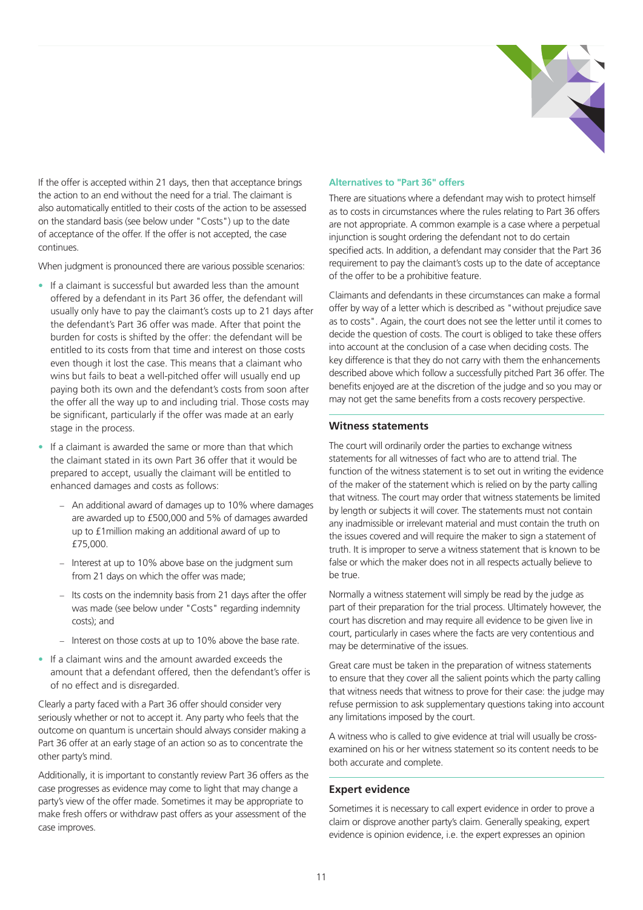

If the offer is accepted within 21 days, then that acceptance brings the action to an end without the need for a trial. The claimant is also automatically entitled to their costs of the action to be assessed on the standard basis (see below under "Costs") up to the date of acceptance of the offer. If the offer is not accepted, the case continues.

When judgment is pronounced there are various possible scenarios:

- If a claimant is successful but awarded less than the amount offered by a defendant in its Part 36 offer, the defendant will usually only have to pay the claimant's costs up to 21 days after the defendant's Part 36 offer was made. After that point the burden for costs is shifted by the offer: the defendant will be entitled to its costs from that time and interest on those costs even though it lost the case. This means that a claimant who wins but fails to beat a well-pitched offer will usually end up paying both its own and the defendant's costs from soon after the offer all the way up to and including trial. Those costs may be significant, particularly if the offer was made at an early stage in the process.
- If a claimant is awarded the same or more than that which the claimant stated in its own Part 36 offer that it would be prepared to accept, usually the claimant will be entitled to enhanced damages and costs as follows:
	- − An additional award of damages up to 10% where damages are awarded up to £500,000 and 5% of damages awarded up to £1million making an additional award of up to £75,000.
	- − Interest at up to 10% above base on the judgment sum from 21 days on which the offer was made;
	- − Its costs on the indemnity basis from 21 days after the offer was made (see below under "Costs" regarding indemnity costs); and
	- − Interest on those costs at up to 10% above the base rate.
- If a claimant wins and the amount awarded exceeds the amount that a defendant offered, then the defendant's offer is of no effect and is disregarded.

Clearly a party faced with a Part 36 offer should consider very seriously whether or not to accept it. Any party who feels that the outcome on quantum is uncertain should always consider making a Part 36 offer at an early stage of an action so as to concentrate the other party's mind.

Additionally, it is important to constantly review Part 36 offers as the case progresses as evidence may come to light that may change a party's view of the offer made. Sometimes it may be appropriate to make fresh offers or withdraw past offers as your assessment of the case improves.

#### **Alternatives to "Part 36" offers**

There are situations where a defendant may wish to protect himself as to costs in circumstances where the rules relating to Part 36 offers are not appropriate. A common example is a case where a perpetual injunction is sought ordering the defendant not to do certain specified acts. In addition, a defendant may consider that the Part 36 requirement to pay the claimant's costs up to the date of acceptance of the offer to be a prohibitive feature.

Claimants and defendants in these circumstances can make a formal offer by way of a letter which is described as "without prejudice save as to costs". Again, the court does not see the letter until it comes to decide the question of costs. The court is obliged to take these offers into account at the conclusion of a case when deciding costs. The key difference is that they do not carry with them the enhancements described above which follow a successfully pitched Part 36 offer. The benefits enjoyed are at the discretion of the judge and so you may or may not get the same benefits from a costs recovery perspective.

#### **Witness statements**

The court will ordinarily order the parties to exchange witness statements for all witnesses of fact who are to attend trial. The function of the witness statement is to set out in writing the evidence of the maker of the statement which is relied on by the party calling that witness. The court may order that witness statements be limited by length or subjects it will cover. The statements must not contain any inadmissible or irrelevant material and must contain the truth on the issues covered and will require the maker to sign a statement of truth. It is improper to serve a witness statement that is known to be false or which the maker does not in all respects actually believe to be true.

Normally a witness statement will simply be read by the judge as part of their preparation for the trial process. Ultimately however, the court has discretion and may require all evidence to be given live in court, particularly in cases where the facts are very contentious and may be determinative of the issues.

Great care must be taken in the preparation of witness statements to ensure that they cover all the salient points which the party calling that witness needs that witness to prove for their case: the judge may refuse permission to ask supplementary questions taking into account any limitations imposed by the court.

A witness who is called to give evidence at trial will usually be crossexamined on his or her witness statement so its content needs to be both accurate and complete.

#### **Expert evidence**

Sometimes it is necessary to call expert evidence in order to prove a claim or disprove another party's claim. Generally speaking, expert evidence is opinion evidence, i.e. the expert expresses an opinion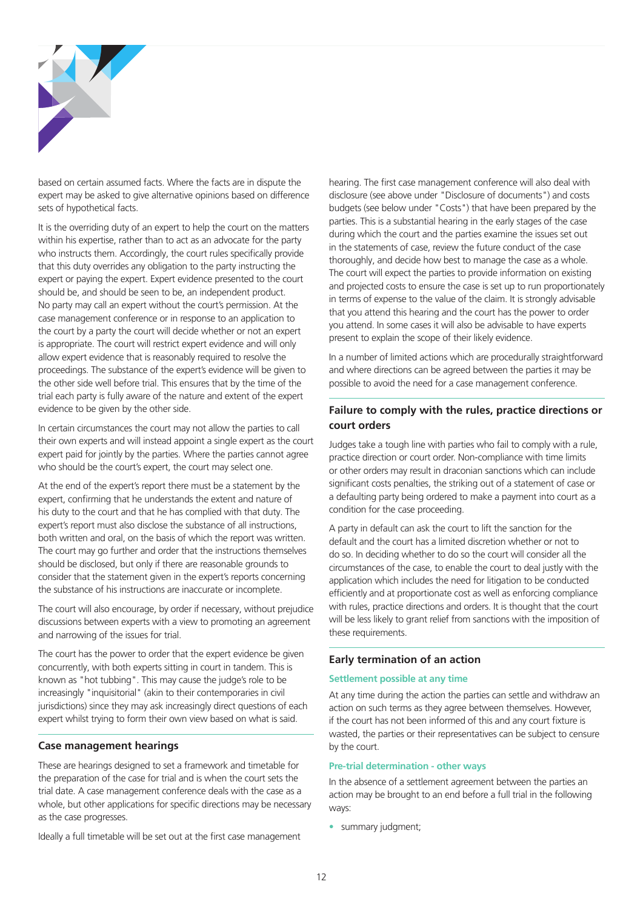

based on certain assumed facts. Where the facts are in dispute the expert may be asked to give alternative opinions based on difference sets of hypothetical facts.

It is the overriding duty of an expert to help the court on the matters within his expertise, rather than to act as an advocate for the party who instructs them. Accordingly, the court rules specifically provide that this duty overrides any obligation to the party instructing the expert or paying the expert. Expert evidence presented to the court should be, and should be seen to be, an independent product. No party may call an expert without the court's permission. At the case management conference or in response to an application to the court by a party the court will decide whether or not an expert is appropriate. The court will restrict expert evidence and will only allow expert evidence that is reasonably required to resolve the proceedings. The substance of the expert's evidence will be given to the other side well before trial. This ensures that by the time of the trial each party is fully aware of the nature and extent of the expert evidence to be given by the other side.

In certain circumstances the court may not allow the parties to call their own experts and will instead appoint a single expert as the court expert paid for jointly by the parties. Where the parties cannot agree who should be the court's expert, the court may select one.

At the end of the expert's report there must be a statement by the expert, confirming that he understands the extent and nature of his duty to the court and that he has complied with that duty. The expert's report must also disclose the substance of all instructions, both written and oral, on the basis of which the report was written. The court may go further and order that the instructions themselves should be disclosed, but only if there are reasonable grounds to consider that the statement given in the expert's reports concerning the substance of his instructions are inaccurate or incomplete.

The court will also encourage, by order if necessary, without prejudice discussions between experts with a view to promoting an agreement and narrowing of the issues for trial.

The court has the power to order that the expert evidence be given concurrently, with both experts sitting in court in tandem. This is known as "hot tubbing". This may cause the judge's role to be increasingly "inquisitorial" (akin to their contemporaries in civil jurisdictions) since they may ask increasingly direct questions of each expert whilst trying to form their own view based on what is said.

#### **Case management hearings**

These are hearings designed to set a framework and timetable for the preparation of the case for trial and is when the court sets the trial date. A case management conference deals with the case as a whole, but other applications for specific directions may be necessary as the case progresses.

Ideally a full timetable will be set out at the first case management

hearing. The first case management conference will also deal with disclosure (see above under "Disclosure of documents") and costs budgets (see below under "Costs") that have been prepared by the parties. This is a substantial hearing in the early stages of the case during which the court and the parties examine the issues set out in the statements of case, review the future conduct of the case thoroughly, and decide how best to manage the case as a whole. The court will expect the parties to provide information on existing and projected costs to ensure the case is set up to run proportionately in terms of expense to the value of the claim. It is strongly advisable that you attend this hearing and the court has the power to order you attend. In some cases it will also be advisable to have experts present to explain the scope of their likely evidence.

In a number of limited actions which are procedurally straightforward and where directions can be agreed between the parties it may be possible to avoid the need for a case management conference.

#### **Failure to comply with the rules, practice directions or court orders**

Judges take a tough line with parties who fail to comply with a rule, practice direction or court order. Non-compliance with time limits or other orders may result in draconian sanctions which can include significant costs penalties, the striking out of a statement of case or a defaulting party being ordered to make a payment into court as a condition for the case proceeding.

A party in default can ask the court to lift the sanction for the default and the court has a limited discretion whether or not to do so. In deciding whether to do so the court will consider all the circumstances of the case, to enable the court to deal justly with the application which includes the need for litigation to be conducted efficiently and at proportionate cost as well as enforcing compliance with rules, practice directions and orders. It is thought that the court will be less likely to grant relief from sanctions with the imposition of these requirements.

#### **Early termination of an action**

#### **Settlement possible at any time**

At any time during the action the parties can settle and withdraw an action on such terms as they agree between themselves. However, if the court has not been informed of this and any court fixture is wasted, the parties or their representatives can be subject to censure by the court.

#### **Pre-trial determination - other ways**

In the absence of a settlement agreement between the parties an action may be brought to an end before a full trial in the following ways:

• summary judgment;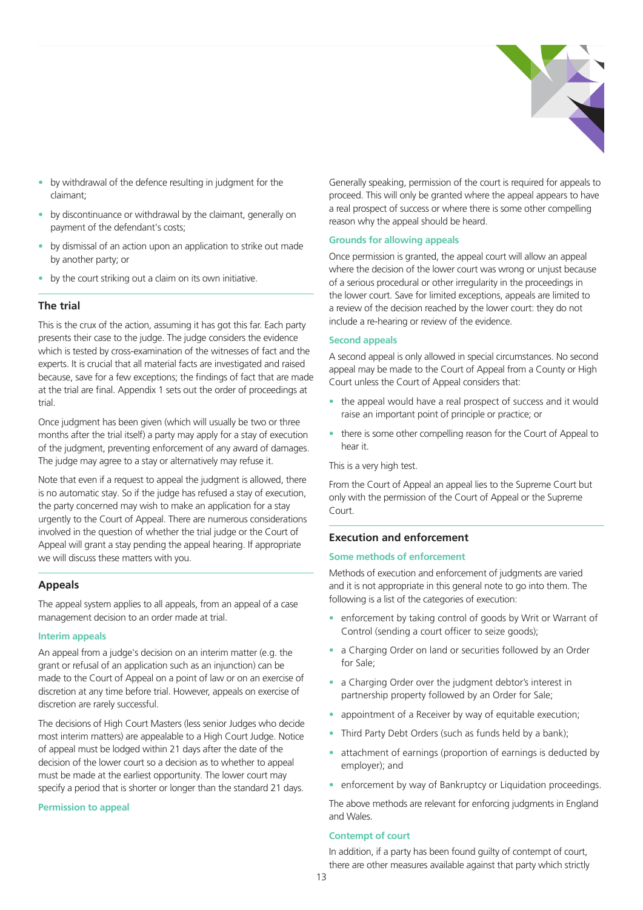

- by withdrawal of the defence resulting in judgment for the claimant;
- by discontinuance or withdrawal by the claimant, generally on payment of the defendant's costs;
- by dismissal of an action upon an application to strike out made by another party; or
- by the court striking out a claim on its own initiative.

#### **The trial**

This is the crux of the action, assuming it has got this far. Each party presents their case to the judge. The judge considers the evidence which is tested by cross-examination of the witnesses of fact and the experts. It is crucial that all material facts are investigated and raised because, save for a few exceptions; the findings of fact that are made at the trial are final. Appendix 1 sets out the order of proceedings at trial.

Once judgment has been given (which will usually be two or three months after the trial itself) a party may apply for a stay of execution of the judgment, preventing enforcement of any award of damages. The judge may agree to a stay or alternatively may refuse it.

Note that even if a request to appeal the judgment is allowed, there is no automatic stay. So if the judge has refused a stay of execution, the party concerned may wish to make an application for a stay urgently to the Court of Appeal. There are numerous considerations involved in the question of whether the trial judge or the Court of Appeal will grant a stay pending the appeal hearing. If appropriate we will discuss these matters with you.

#### **Appeals**

The appeal system applies to all appeals, from an appeal of a case management decision to an order made at trial.

#### **Interim appeals**

An appeal from a judge's decision on an interim matter (e.g. the grant or refusal of an application such as an injunction) can be made to the Court of Appeal on a point of law or on an exercise of discretion at any time before trial. However, appeals on exercise of discretion are rarely successful.

The decisions of High Court Masters (less senior Judges who decide most interim matters) are appealable to a High Court Judge. Notice of appeal must be lodged within 21 days after the date of the decision of the lower court so a decision as to whether to appeal must be made at the earliest opportunity. The lower court may specify a period that is shorter or longer than the standard 21 days.

#### **Permission to appeal**

Generally speaking, permission of the court is required for appeals to proceed. This will only be granted where the appeal appears to have a real prospect of success or where there is some other compelling reason why the appeal should be heard.

#### **Grounds for allowing appeals**

Once permission is granted, the appeal court will allow an appeal where the decision of the lower court was wrong or unjust because of a serious procedural or other irregularity in the proceedings in the lower court. Save for limited exceptions, appeals are limited to a review of the decision reached by the lower court: they do not include a re-hearing or review of the evidence.

#### **Second appeals**

A second appeal is only allowed in special circumstances. No second appeal may be made to the Court of Appeal from a County or High Court unless the Court of Appeal considers that:

- the appeal would have a real prospect of success and it would raise an important point of principle or practice; or
- there is some other compelling reason for the Court of Appeal to hear it.

This is a very high test.

From the Court of Appeal an appeal lies to the Supreme Court but only with the permission of the Court of Appeal or the Supreme Court.

#### **Execution and enforcement**

#### **Some methods of enforcement**

Methods of execution and enforcement of judgments are varied and it is not appropriate in this general note to go into them. The following is a list of the categories of execution:

- enforcement by taking control of goods by Writ or Warrant of Control (sending a court officer to seize goods);
- a Charging Order on land or securities followed by an Order for Sale;
- a Charging Order over the judgment debtor's interest in partnership property followed by an Order for Sale;
- appointment of a Receiver by way of equitable execution;
- Third Party Debt Orders (such as funds held by a bank);
- attachment of earnings (proportion of earnings is deducted by employer); and
- enforcement by way of Bankruptcy or Liquidation proceedings.

The above methods are relevant for enforcing judgments in England and Wales.

#### **Contempt of court**

In addition, if a party has been found guilty of contempt of court, there are other measures available against that party which strictly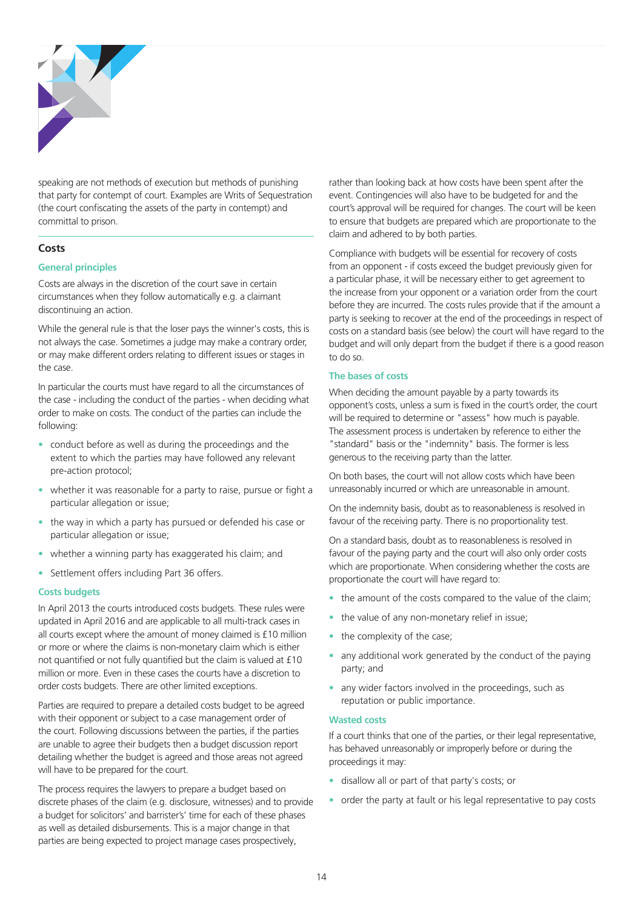

speaking are not methods of execution but methods of punishing that party for contempt of court. Examples are Writs of Sequestration (the court confiscating the assets of the party in contempt) and committal to prison.

#### **Costs**

#### **General principles**

Costs are always in the discretion of the court save in certain circumstances when they follow automatically e.g. a claimant discontinuing an action.

While the general rule is that the loser pays the winner's costs, this is not always the case. Sometimes a judge may make a contrary order, or may make different orders relating to different issues or stages in the case.

In particular the courts must have regard to all the circumstances of the case - including the conduct of the parties - when deciding what order to make on costs. The conduct of the parties can include the following:

- conduct before as well as during the proceedings and the extent to which the parties may have followed any relevant pre-action protocol;
- whether it was reasonable for a party to raise, pursue or fight a particular allegation or issue;
- the way in which a party has pursued or defended his case or particular allegation or issue;
- whether a winning party has exaggerated his claim; and
- Settlement offers including Part 36 offers.

#### **Costs budgets**

In April 2013 the courts introduced costs budgets. These rules were updated in April 2016 and are applicable to all multi-track cases in all courts except where the amount of money claimed is £10 million or more or where the claims is non-monetary claim which is either not quantified or not fully quantified but the claim is valued at £10 million or more. Even in these cases the courts have a discretion to order costs budgets. There are other limited exceptions.

Parties are required to prepare a detailed costs budget to be agreed with their opponent or subject to a case management order of the court. Following discussions between the parties, if the parties are unable to agree their budgets then a budget discussion report detailing whether the budget is agreed and those areas not agreed will have to be prepared for the court.

The process requires the lawyers to prepare a budget based on discrete phases of the claim (e.g. disclosure, witnesses) and to provide a budget for solicitors' and barrister's' time for each of these phases as well as detailed disbursements. This is a major change in that parties are being expected to project manage cases prospectively,

rather than looking back at how costs have been spent after the event. Contingencies will also have to be budgeted for and the court's approval will be required for changes. The court will be keen to ensure that budgets are prepared which are proportionate to the claim and adhered to by both parties.

Compliance with budgets will be essential for recovery of costs from an opponent - if costs exceed the budget previously given for a particular phase, it will be necessary either to get agreement to the increase from your opponent or a variation order from the court before they are incurred. The costs rules provide that if the amount a party is seeking to recover at the end of the proceedings in respect of costs on a standard basis (see below) the court will have regard to the budget and will only depart from the budget if there is a good reason to do so.

#### **The bases of costs**

When deciding the amount payable by a party towards its opponent's costs, unless a sum is fixed in the court's order, the court will be required to determine or "assess" how much is payable. The assessment process is undertaken by reference to either the "standard" basis or the "indemnity" basis. The former is less generous to the receiving party than the latter.

On both bases, the court will not allow costs which have been unreasonably incurred or which are unreasonable in amount.

On the indemnity basis, doubt as to reasonableness is resolved in favour of the receiving party. There is no proportionality test.

On a standard basis, doubt as to reasonableness is resolved in favour of the paying party and the court will also only order costs which are proportionate. When considering whether the costs are proportionate the court will have regard to:

- the amount of the costs compared to the value of the claim;
- the value of any non-monetary relief in issue;
- the complexity of the case;
- any additional work generated by the conduct of the paying party; and
- any wider factors involved in the proceedings, such as reputation or public importance.

#### **Wasted costs**

If a court thinks that one of the parties, or their legal representative, has behaved unreasonably or improperly before or during the proceedings it may:

- disallow all or part of that party's costs; or
- order the party at fault or his legal representative to pay costs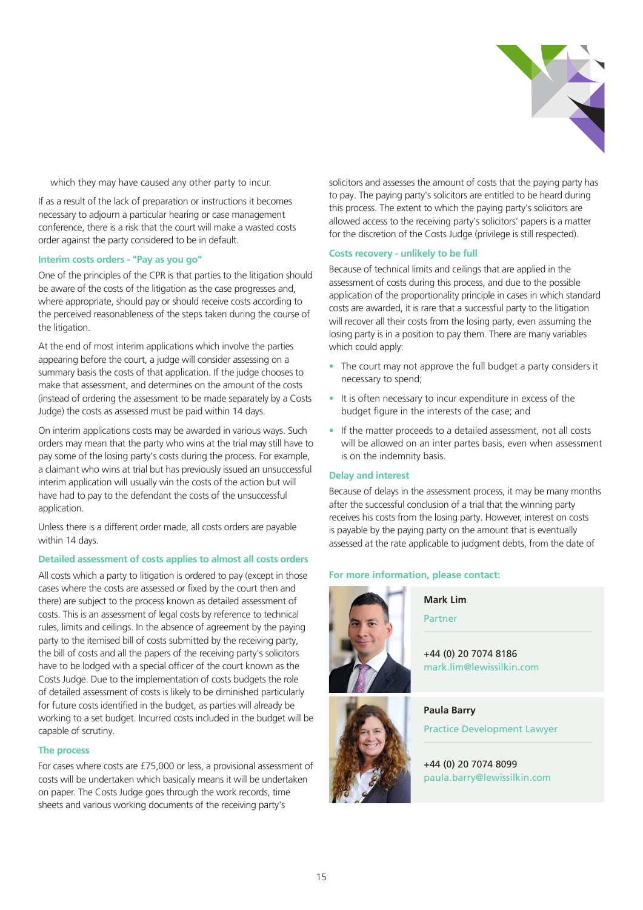

which they may have caused any other party to incur.

If as a result of the lack of preparation or instructions it becomes necessary to adjourn a particular hearing or case management conference, there is a risk that the court will make a wasted costs order against the party considered to be in default.

#### **Interim costs orders - "Pay as you go"**

One of the principles of the CPR is that parties to the litigation should be aware of the costs of the litigation as the case progresses and, where appropriate, should pay or should receive costs according to the perceived reasonableness of the steps taken during the course of the litigation.

At the end of most interim applications which involve the parties appearing before the court, a judge will consider assessing on a summary basis the costs of that application. If the judge chooses to make that assessment, and determines on the amount of the costs (instead of ordering the assessment to be made separately by a Costs Judge) the costs as assessed must be paid within 14 days.

On interim applications costs may be awarded in various ways. Such orders may mean that the party who wins at the trial may still have to pay some of the losing party's costs during the process. For example, a claimant who wins at trial but has previously issued an unsuccessful interim application will usually win the costs of the action but will have had to pay to the defendant the costs of the unsuccessful application.

Unless there is a different order made, all costs orders are payable within 14 days.

#### **Detailed assessment of costs applies to almost all costs orders**

All costs which a party to litigation is ordered to pay (except in those cases where the costs are assessed or fixed by the court then and there) are subject to the process known as detailed assessment of costs. This is an assessment of legal costs by reference to technical rules, limits and ceilings. In the absence of agreement by the paying party to the itemised bill of costs submitted by the receiving party, the bill of costs and all the papers of the receiving party's solicitors have to be lodged with a special officer of the court known as the Costs Judge. Due to the implementation of costs budgets the role of detailed assessment of costs is likely to be diminished particularly for future costs identified in the budget, as parties will already be working to a set budget. Incurred costs included in the budget will be capable of scrutiny.

#### **The process**

For cases where costs are £75,000 or less, a provisional assessment of costs will be undertaken which basically means it will be undertaken on paper. The Costs Judge goes through the work records, time sheets and various working documents of the receiving party's

solicitors and assesses the amount of costs that the paying party has to pay. The paying party's solicitors are entitled to be heard during this process. The extent to which the paying party's solicitors are allowed access to the receiving party's solicitors' papers is a matter for the discretion of the Costs Judge (privilege is still respected).

#### **Costs recovery - unlikely to be full**

Because of technical limits and ceilings that are applied in the assessment of costs during this process, and due to the possible application of the proportionality principle in cases in which standard costs are awarded, it is rare that a successful party to the litigation will recover all their costs from the losing party, even assuming the losing party is in a position to pay them. There are many variables which could apply:

- The court may not approve the full budget a party considers it necessary to spend;
- It is often necessary to incur expenditure in excess of the budget figure in the interests of the case; and
- If the matter proceeds to a detailed assessment, not all costs will be allowed on an inter partes basis, even when assessment is on the indemnity basis.

#### **Delay and interest**

Because of delays in the assessment process, it may be many months after the successful conclusion of a trial that the winning party receives his costs from the losing party. However, interest on costs is payable by the paying party on the amount that is eventually assessed at the rate applicable to judgment debts, from the date of

#### **For more information, please contact:**





### Partner

**Mark Lim** 

+44 (0) 20 7074 8186 mark.lim@lewissilkin.com

#### **Paula Barry**

Practice Development Lawyer

#### +44 (0) 20 7074 8099 paula.barry@lewissilkin.com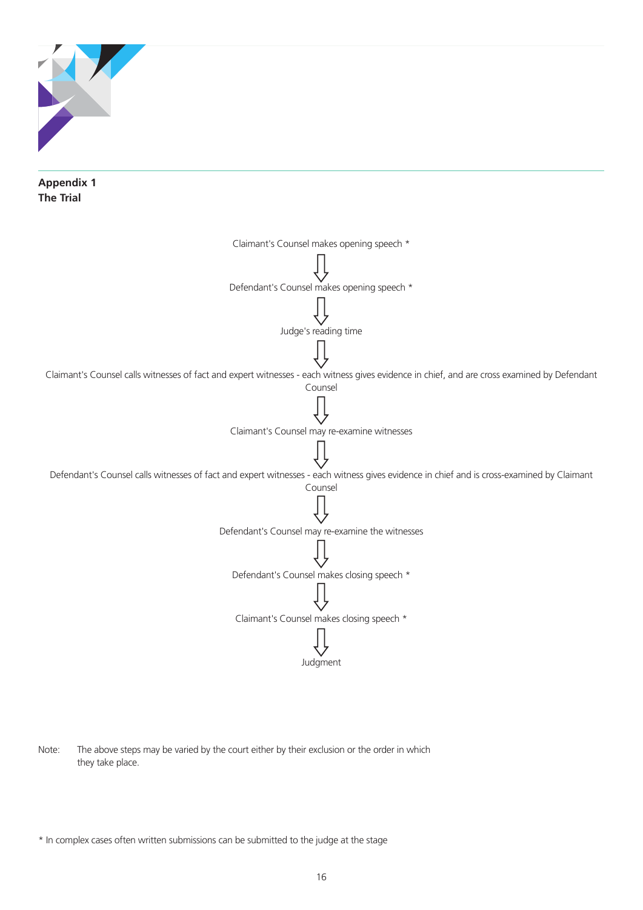

Note: The above steps may be varied by the court either by their exclusion or the order in which they take place.

<sup>\*</sup> In complex cases often written submissions can be submitted to the judge at the stage